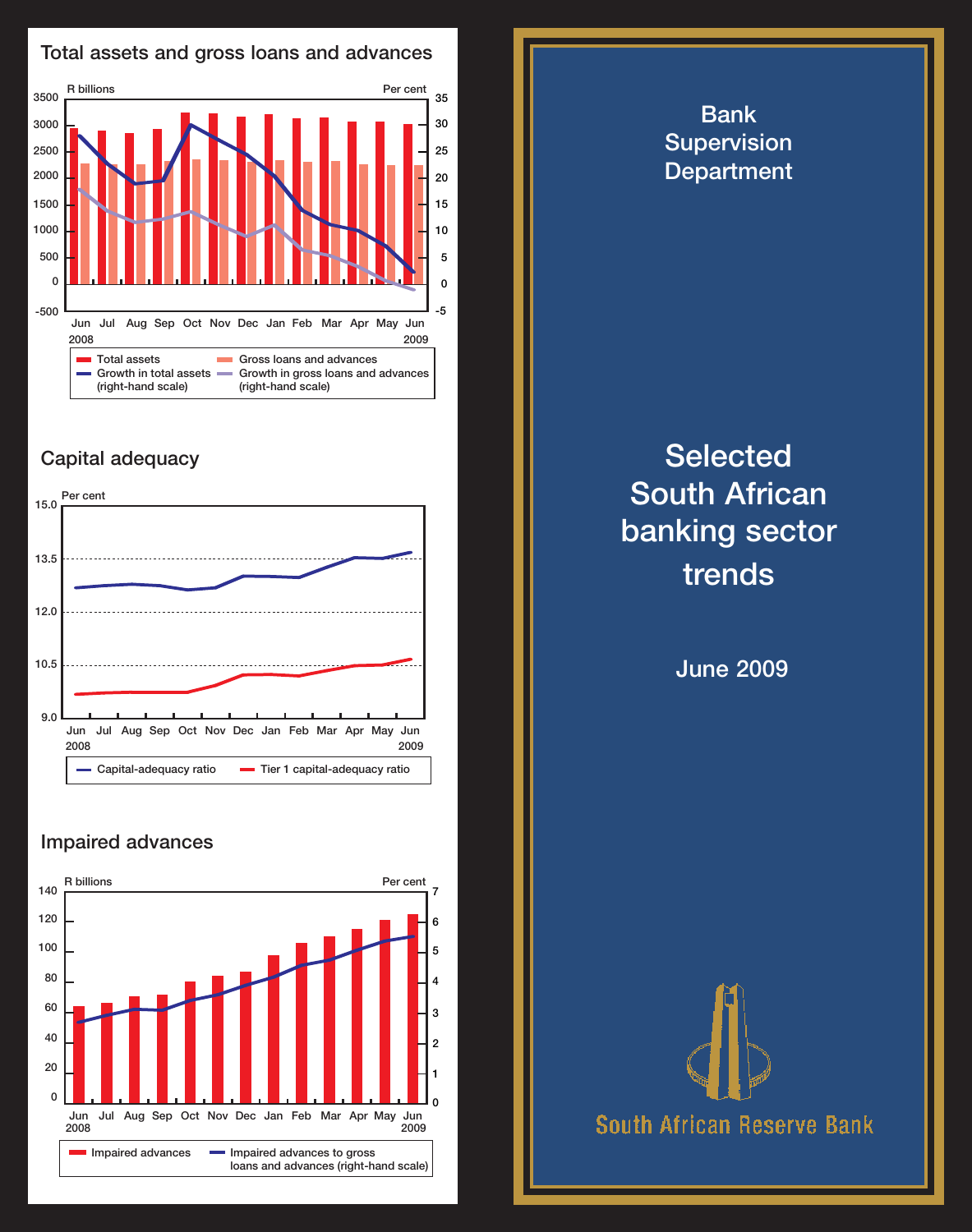

## Capital adequacy



## Impaired advances



Bank **Supervision Department Selected** South African banking sector trends June 2009